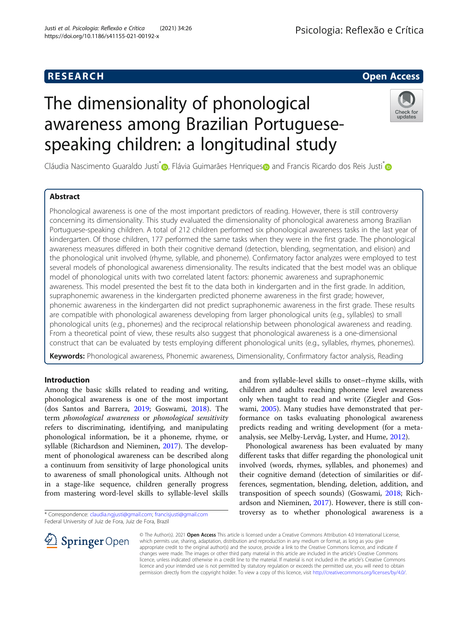# **RESEARCH CHE Open Access**

# The dimensionality of phonological awareness among Brazilian Portuguesespeaking children: a longitudinal study



Cláudia Nascimento Guaraldo Justi<sup>[\\*](https://orcid.org/0000-0003-2943-6062)</[s](https://orcid.org/0000-0003-1222-8953)up> <sub>(b</sub>, Flávia Guimarães Henriques (b) and Francis Ricardo dos Reis Justi<sup>\*</sup> (b

# Abstract

Phonological awareness is one of the most important predictors of reading. However, there is still controversy concerning its dimensionality. This study evaluated the dimensionality of phonological awareness among Brazilian Portuguese-speaking children. A total of 212 children performed six phonological awareness tasks in the last year of kindergarten. Of those children, 177 performed the same tasks when they were in the first grade. The phonological awareness measures differed in both their cognitive demand (detection, blending, segmentation, and elision) and the phonological unit involved (rhyme, syllable, and phoneme). Confirmatory factor analyzes were employed to test several models of phonological awareness dimensionality. The results indicated that the best model was an oblique model of phonological units with two correlated latent factors: phonemic awareness and supraphonemic awareness. This model presented the best fit to the data both in kindergarten and in the first grade. In addition, supraphonemic awareness in the kindergarten predicted phoneme awareness in the first grade; however, phonemic awareness in the kindergarten did not predict supraphonemic awareness in the first grade. These results are compatible with phonological awareness developing from larger phonological units (e.g., syllables) to small phonological units (e.g., phonemes) and the reciprocal relationship between phonological awareness and reading. From a theoretical point of view, these results also suggest that phonological awareness is a one-dimensional construct that can be evaluated by tests employing different phonological units (e.g., syllables, rhymes, phonemes).

Keywords: Phonological awareness, Phonemic awareness, Dimensionality, Confirmatory factor analysis, Reading

# Introduction

Among the basic skills related to reading and writing, phonological awareness is one of the most important (dos Santos and Barrera, [2019](#page-11-0); Goswami, [2018](#page-11-0)). The term phonological awareness or phonological sensitivity refers to discriminating, identifying, and manipulating phonological information, be it a phoneme, rhyme, or syllable (Richardson and Nieminen, [2017\)](#page-11-0). The development of phonological awareness can be described along a continuum from sensitivity of large phonological units to awareness of small phonological units. Although not in a stage-like sequence, children generally progress from mastering word-level skills to syllable-level skills

\* Correspondence: [claudia.ngjusti@gmail.com;](mailto:claudia.ngjusti@gmail.com) [francisjusti@gmail.com](mailto:francisjusti@gmail.com) Federal University of Juiz de Fora, Juiz de Fora, Brazil

and from syllable-level skills to onset–rhyme skills, with children and adults reaching phoneme level awareness only when taught to read and write (Ziegler and Goswami, [2005](#page-11-0)). Many studies have demonstrated that performance on tasks evaluating phonological awareness predicts reading and writing development (for a metaanalysis, see Melby-Lervåg, Lyster, and Hume, [2012](#page-11-0)).

Phonological awareness has been evaluated by many different tasks that differ regarding the phonological unit involved (words, rhymes, syllables, and phonemes) and their cognitive demand (detection of similarities or differences, segmentation, blending, deletion, addition, and transposition of speech sounds) (Goswami, [2018](#page-11-0); Richardson and Nieminen, [2017\)](#page-11-0). However, there is still controversy as to whether phonological awareness is a



© The Author(s). 2021 Open Access This article is licensed under a Creative Commons Attribution 4.0 International License, which permits use, sharing, adaptation, distribution and reproduction in any medium or format, as long as you give appropriate credit to the original author(s) and the source, provide a link to the Creative Commons licence, and indicate if changes were made. The images or other third party material in this article are included in the article's Creative Commons licence, unless indicated otherwise in a credit line to the material. If material is not included in the article's Creative Commons licence and your intended use is not permitted by statutory regulation or exceeds the permitted use, you will need to obtain permission directly from the copyright holder. To view a copy of this licence, visit <http://creativecommons.org/licenses/by/4.0/>.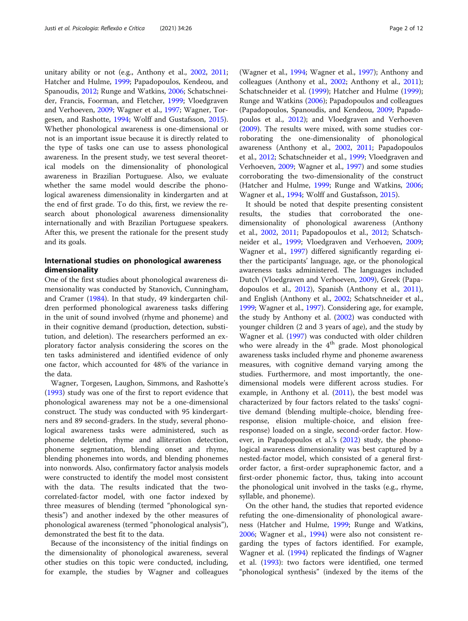unitary ability or not (e.g., Anthony et al., [2002](#page-11-0), [2011](#page-11-0); Hatcher and Hulme, [1999](#page-11-0); Papadopoulos, Kendeou, and Spanoudis, [2012](#page-11-0); Runge and Watkins, [2006;](#page-11-0) Schatschneider, Francis, Foorman, and Fletcher, [1999](#page-11-0); Vloedgraven and Verhoeven, [2009;](#page-11-0) Wagner et al., [1997;](#page-11-0) Wagner, Torgesen, and Rashotte, [1994](#page-11-0); Wolff and Gustafsson, [2015](#page-11-0)). Whether phonological awareness is one-dimensional or not is an important issue because it is directly related to the type of tasks one can use to assess phonological awareness. In the present study, we test several theoretical models on the dimensionality of phonological awareness in Brazilian Portuguese. Also, we evaluate whether the same model would describe the phonological awareness dimensionality in kindergarten and at the end of first grade. To do this, first, we review the research about phonological awareness dimensionality internationally and with Brazilian Portuguese speakers. After this, we present the rationale for the present study and its goals.

# International studies on phonological awareness dimensionality

One of the first studies about phonological awareness dimensionality was conducted by Stanovich, Cunningham, and Cramer ([1984](#page-11-0)). In that study, 49 kindergarten children performed phonological awareness tasks differing in the unit of sound involved (rhyme and phoneme) and in their cognitive demand (production, detection, substitution, and deletion). The researchers performed an exploratory factor analysis considering the scores on the ten tasks administered and identified evidence of only one factor, which accounted for 48% of the variance in the data.

Wagner, Torgesen, Laughon, Simmons, and Rashotte's ([1993](#page-11-0)) study was one of the first to report evidence that phonological awareness may not be a one-dimensional construct. The study was conducted with 95 kindergartners and 89 second-graders. In the study, several phonological awareness tasks were administered, such as phoneme deletion, rhyme and alliteration detection, phoneme segmentation, blending onset and rhyme, blending phonemes into words, and blending phonemes into nonwords. Also, confirmatory factor analysis models were constructed to identify the model most consistent with the data. The results indicated that the twocorrelated-factor model, with one factor indexed by three measures of blending (termed "phonological synthesis") and another indexed by the other measures of phonological awareness (termed "phonological analysis"), demonstrated the best fit to the data.

Because of the inconsistency of the initial findings on the dimensionality of phonological awareness, several other studies on this topic were conducted, including, for example, the studies by Wagner and colleagues

(Wagner et al., [1994](#page-11-0); Wagner et al., [1997\)](#page-11-0); Anthony and colleagues (Anthony et al., [2002](#page-11-0); Anthony et al., [2011](#page-11-0)); Schatschneider et al. [\(1999\)](#page-11-0); Hatcher and Hulme ([1999](#page-11-0)); Runge and Watkins ([2006](#page-11-0)); Papadopoulos and colleagues (Papadopoulos, Spanoudis, and Kendeou, [2009](#page-11-0); Papadopoulos et al., [2012](#page-11-0)); and Vloedgraven and Verhoeven ([2009\)](#page-11-0). The results were mixed, with some studies corroborating the one-dimensionality of phonological awareness (Anthony et al., [2002](#page-11-0), [2011;](#page-11-0) Papadopoulos et al., [2012](#page-11-0); Schatschneider et al., [1999](#page-11-0); Vloedgraven and Verhoeven, [2009;](#page-11-0) Wagner et al., [1997\)](#page-11-0) and some studies corroborating the two-dimensionality of the construct (Hatcher and Hulme, [1999](#page-11-0); Runge and Watkins, [2006](#page-11-0); Wagner et al., [1994](#page-11-0); Wolff and Gustafsson, [2015](#page-11-0)).

It should be noted that despite presenting consistent results, the studies that corroborated the onedimensionality of phonological awareness (Anthony et al., [2002,](#page-11-0) [2011;](#page-11-0) Papadopoulos et al., [2012;](#page-11-0) Schatschneider et al., [1999](#page-11-0); Vloedgraven and Verhoeven, [2009](#page-11-0); Wagner et al., [1997\)](#page-11-0) differed significantly regarding either the participants' language, age, or the phonological awareness tasks administered. The languages included Dutch (Vloedgraven and Verhoeven, [2009\)](#page-11-0), Greek (Papadopoulos et al., [2012\)](#page-11-0), Spanish (Anthony et al., [2011](#page-11-0)), and English (Anthony et al., [2002](#page-11-0); Schatschneider et al., [1999](#page-11-0); Wagner et al., [1997\)](#page-11-0). Considering age, for example, the study by Anthony et al. [\(2002\)](#page-11-0) was conducted with younger children (2 and 3 years of age), and the study by Wagner et al. ([1997](#page-11-0)) was conducted with older children who were already in the  $4<sup>th</sup>$  grade. Most phonological awareness tasks included rhyme and phoneme awareness measures, with cognitive demand varying among the studies. Furthermore, and most importantly, the onedimensional models were different across studies. For example, in Anthony et al. [\(2011\)](#page-11-0), the best model was characterized by four factors related to the tasks' cognitive demand (blending multiple-choice, blending freeresponse, elision multiple-choice, and elision freeresponse) loaded on a single, second-order factor. However, in Papadopoulos et al.'s [\(2012\)](#page-11-0) study, the phonological awareness dimensionality was best captured by a nested-factor model, which consisted of a general firstorder factor, a first-order supraphonemic factor, and a first-order phonemic factor, thus, taking into account the phonological unit involved in the tasks (e.g., rhyme, syllable, and phoneme).

On the other hand, the studies that reported evidence refuting the one-dimensionality of phonological awareness (Hatcher and Hulme, [1999;](#page-11-0) Runge and Watkins, [2006](#page-11-0); Wagner et al., [1994\)](#page-11-0) were also not consistent regarding the types of factors identified. For example, Wagner et al. [\(1994](#page-11-0)) replicated the findings of Wagner et al. [\(1993\)](#page-11-0): two factors were identified, one termed "phonological synthesis" (indexed by the items of the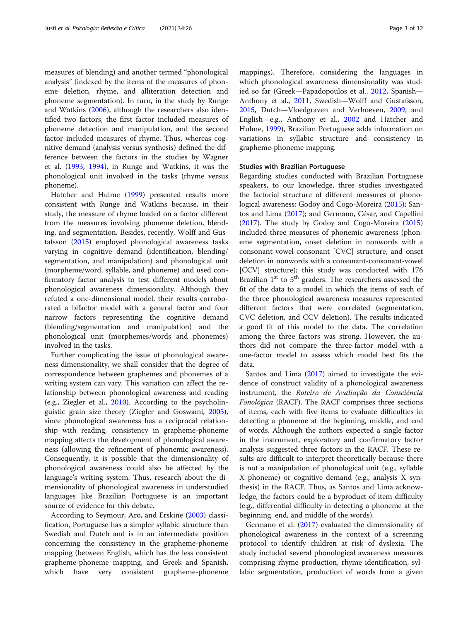measures of blending) and another termed "phonological analysis" (indexed by the items of the measures of phoneme deletion, rhyme, and alliteration detection and phoneme segmentation). In turn, in the study by Runge and Watkins [\(2006\)](#page-11-0), although the researchers also identified two factors, the first factor included measures of phoneme detection and manipulation, and the second factor included measures of rhyme. Thus, whereas cognitive demand (analysis versus synthesis) defined the difference between the factors in the studies by Wagner et al. [\(1993,](#page-11-0) [1994](#page-11-0)), in Runge and Watkins, it was the phonological unit involved in the tasks (rhyme versus phoneme).

Hatcher and Hulme ([1999\)](#page-11-0) presented results more consistent with Runge and Watkins because, in their study, the measure of rhyme loaded on a factor different from the measures involving phoneme deletion, blending, and segmentation. Besides, recently, Wolff and Gustafsson ([2015](#page-11-0)) employed phonological awareness tasks varying in cognitive demand (identification, blending/ segmentation, and manipulation) and phonological unit (morpheme/word, syllable, and phoneme) and used confirmatory factor analysis to test different models about phonological awareness dimensionality. Although they refuted a one-dimensional model, their results corroborated a bifactor model with a general factor and four narrow factors representing the cognitive demand (blending/segmentation and manipulation) and the phonological unit (morphemes/words and phonemes) involved in the tasks.

Further complicating the issue of phonological awareness dimensionality, we shall consider that the degree of correspondence between graphemes and phonemes of a writing system can vary. This variation can affect the relationship between phonological awareness and reading (e.g., Ziegler et al., [2010\)](#page-11-0). According to the psycholinguistic grain size theory (Ziegler and Goswami, [2005](#page-11-0)), since phonological awareness has a reciprocal relationship with reading, consistency in grapheme-phoneme mapping affects the development of phonological awareness (allowing the refinement of phonemic awareness). Consequently, it is possible that the dimensionality of phonological awareness could also be affected by the language's writing system. Thus, research about the dimensionality of phonological awareness in understudied languages like Brazilian Portuguese is an important source of evidence for this debate.

According to Seymour, Aro, and Erskine [\(2003](#page-11-0)) classification, Portuguese has a simpler syllabic structure than Swedish and Dutch and is in an intermediate position concerning the consistency in the grapheme-phoneme mapping (between English, which has the less consistent grapheme-phoneme mapping, and Greek and Spanish, which have very consistent grapheme-phoneme mappings). Therefore, considering the languages in which phonological awareness dimensionality was studied so far (Greek—Papadopoulos et al., [2012,](#page-11-0) Spanish— Anthony et al., [2011,](#page-11-0) Swedish—Wolff and Gustafsson, [2015](#page-11-0), Dutch—Vloedgraven and Verhoeven, [2009,](#page-11-0) and English—e.g., Anthony et al., [2002](#page-11-0) and Hatcher and Hulme, [1999\)](#page-11-0), Brazilian Portuguese adds information on variations in syllabic structure and consistency in grapheme-phoneme mapping.

#### Studies with Brazilian Portuguese

Regarding studies conducted with Brazilian Portuguese speakers, to our knowledge, three studies investigated the factorial structure of different measures of phonological awareness: Godoy and Cogo-Moreira [\(2015\)](#page-11-0); Santos and Lima [\(2017](#page-11-0)); and Germano, César, and Capellini ([2017\)](#page-11-0). The study by Godoy and Cogo-Moreira ([2015](#page-11-0)) included three measures of phonemic awareness (phoneme segmentation, onset deletion in nonwords with a consonant-vowel-consonant [CVC] structure, and onset deletion in nonwords with a consonant-consonant-vowel [CCV] structure); this study was conducted with 176 Brazilian  $1<sup>st</sup>$  to  $5<sup>th</sup>$  graders. The researchers assessed the fit of the data to a model in which the items of each of the three phonological awareness measures represented different factors that were correlated (segmentation, CVC deletion, and CCV deletion). The results indicated a good fit of this model to the data. The correlation among the three factors was strong. However, the authors did not compare the three-factor model with a one-factor model to assess which model best fits the data.

Santos and Lima ([2017\)](#page-11-0) aimed to investigate the evidence of construct validity of a phonological awareness instrument, the Roteiro de Avaliação da Consciência Fonológica (RACF). The RACF comprises three sections of items, each with five items to evaluate difficulties in detecting a phoneme at the beginning, middle, and end of words. Although the authors expected a single factor in the instrument, exploratory and confirmatory factor analysis suggested three factors in the RACF. These results are difficult to interpret theoretically because there is not a manipulation of phonological unit (e.g., syllable X phoneme) or cognitive demand (e.g., analysis X synthesis) in the RACF. Thus, as Santos and Lima acknowledge, the factors could be a byproduct of item difficulty (e.g., differential difficulty in detecting a phoneme at the beginning, end, and middle of the words).

Germano et al. [\(2017\)](#page-11-0) evaluated the dimensionality of phonological awareness in the context of a screening protocol to identify children at risk of dyslexia. The study included several phonological awareness measures comprising rhyme production, rhyme identification, syllabic segmentation, production of words from a given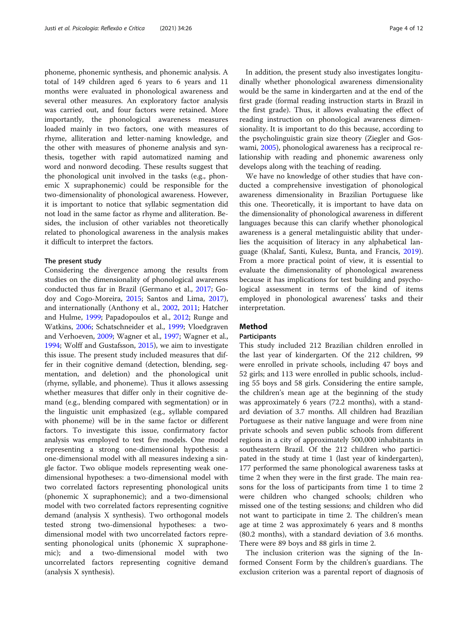phoneme, phonemic synthesis, and phonemic analysis. A total of 149 children aged 6 years to 6 years and 11 months were evaluated in phonological awareness and several other measures. An exploratory factor analysis was carried out, and four factors were retained. More importantly, the phonological awareness measures loaded mainly in two factors, one with measures of rhyme, alliteration and letter-naming knowledge, and the other with measures of phoneme analysis and synthesis, together with rapid automatized naming and word and nonword decoding. These results suggest that the phonological unit involved in the tasks (e.g., phonemic X supraphonemic) could be responsible for the two-dimensionality of phonological awareness. However, it is important to notice that syllabic segmentation did not load in the same factor as rhyme and alliteration. Besides, the inclusion of other variables not theoretically related to phonological awareness in the analysis makes it difficult to interpret the factors.

### The present study

Considering the divergence among the results from studies on the dimensionality of phonological awareness conducted thus far in Brazil (Germano et al., [2017;](#page-11-0) Godoy and Cogo-Moreira, [2015](#page-11-0); Santos and Lima, [2017](#page-11-0)), and internationally (Anthony et al., [2002](#page-11-0), [2011;](#page-11-0) Hatcher and Hulme, [1999;](#page-11-0) Papadopoulos et al., [2012](#page-11-0); Runge and Watkins, [2006](#page-11-0); Schatschneider et al., [1999;](#page-11-0) Vloedgraven and Verhoeven, [2009](#page-11-0); Wagner et al., [1997](#page-11-0); Wagner et al., [1994](#page-11-0); Wolff and Gustafsson, [2015](#page-11-0)), we aim to investigate this issue. The present study included measures that differ in their cognitive demand (detection, blending, segmentation, and deletion) and the phonological unit (rhyme, syllable, and phoneme). Thus it allows assessing whether measures that differ only in their cognitive demand (e.g., blending compared with segmentation) or in the linguistic unit emphasized (e.g., syllable compared with phoneme) will be in the same factor or different factors. To investigate this issue, confirmatory factor analysis was employed to test five models. One model representing a strong one-dimensional hypothesis: a one-dimensional model with all measures indexing a single factor. Two oblique models representing weak onedimensional hypotheses: a two-dimensional model with two correlated factors representing phonological units (phonemic X supraphonemic); and a two-dimensional model with two correlated factors representing cognitive demand (analysis X synthesis). Two orthogonal models tested strong two-dimensional hypotheses: a twodimensional model with two uncorrelated factors representing phonological units (phonemic X supraphonemic); and a two-dimensional model with two uncorrelated factors representing cognitive demand (analysis X synthesis).

In addition, the present study also investigates longitudinally whether phonological awareness dimensionality would be the same in kindergarten and at the end of the first grade (formal reading instruction starts in Brazil in the first grade). Thus, it allows evaluating the effect of reading instruction on phonological awareness dimensionality. It is important to do this because, according to the psycholinguistic grain size theory (Ziegler and Goswami, [2005\)](#page-11-0), phonological awareness has a reciprocal relationship with reading and phonemic awareness only develops along with the teaching of reading.

We have no knowledge of other studies that have conducted a comprehensive investigation of phonological awareness dimensionality in Brazilian Portuguese like this one. Theoretically, it is important to have data on the dimensionality of phonological awareness in different languages because this can clarify whether phonological awareness is a general metalinguistic ability that underlies the acquisition of literacy in any alphabetical language (Khalaf, Santi, Kulesz, Bunta, and Francis, [2019](#page-11-0)). From a more practical point of view, it is essential to evaluate the dimensionality of phonological awareness because it has implications for test building and psychological assessment in terms of the kind of items employed in phonological awareness' tasks and their interpretation.

# Method

## **Participants**

This study included 212 Brazilian children enrolled in the last year of kindergarten. Of the 212 children, 99 were enrolled in private schools, including 47 boys and 52 girls; and 113 were enrolled in public schools, including 55 boys and 58 girls. Considering the entire sample, the children's mean age at the beginning of the study was approximately 6 years (72.2 months), with a standard deviation of 3.7 months. All children had Brazilian Portuguese as their native language and were from nine private schools and seven public schools from different regions in a city of approximately 500,000 inhabitants in southeastern Brazil. Of the 212 children who participated in the study at time 1 (last year of kindergarten), 177 performed the same phonological awareness tasks at time 2 when they were in the first grade. The main reasons for the loss of participants from time 1 to time 2 were children who changed schools; children who missed one of the testing sessions; and children who did not want to participate in time 2. The children's mean age at time 2 was approximately 6 years and 8 months (80.2 months), with a standard deviation of 3.6 months. There were 89 boys and 88 girls in time 2.

The inclusion criterion was the signing of the Informed Consent Form by the children's guardians. The exclusion criterion was a parental report of diagnosis of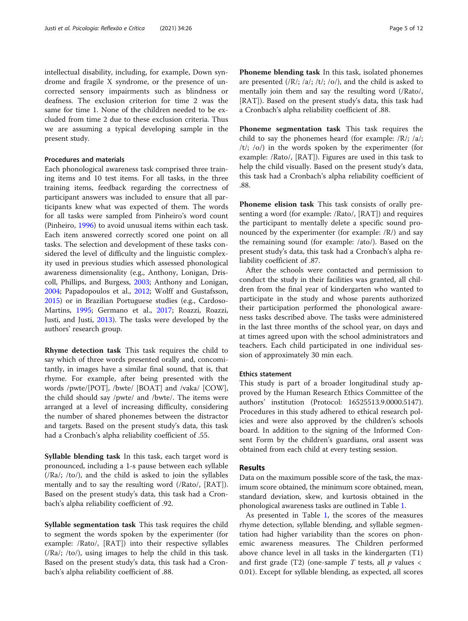intellectual disability, including, for example, Down syndrome and fragile X syndrome, or the presence of uncorrected sensory impairments such as blindness or deafness. The exclusion criterion for time 2 was the same for time 1. None of the children needed to be excluded from time 2 due to these exclusion criteria. Thus we are assuming a typical developing sample in the present study.

## Procedures and materials

Each phonological awareness task comprised three training items and 10 test items. For all tasks, in the three training items, feedback regarding the correctness of participant answers was included to ensure that all participants knew what was expected of them. The words for all tasks were sampled from Pinheiro's word count (Pinheiro, [1996](#page-11-0)) to avoid unusual items within each task. Each item answered correctly scored one point on all tasks. The selection and development of these tasks considered the level of difficulty and the linguistic complexity used in previous studies which assessed phonological awareness dimensionality (e.g., Anthony, Lonigan, Driscoll, Phillips, and Burgess, [2003](#page-11-0); Anthony and Lonigan, [2004](#page-11-0); Papadopoulos et al., [2012;](#page-11-0) Wolff and Gustafsson, [2015](#page-11-0)) or in Brazilian Portuguese studies (e.g., Cardoso-Martins, [1995](#page-11-0); Germano et al., [2017](#page-11-0); Roazzi, Roazzi, Justi, and Justi, [2013](#page-11-0)). The tasks were developed by the authors' research group.

Rhyme detection task This task requires the child to say which of three words presented orally and, concomitantly, in images have a similar final sound, that is, that rhyme. For example, after being presented with the words /pwte/[POT], /bwte/ [BOAT] and /vaka/ [COW], the child should say /pwte/ and /bwte/. The items were arranged at a level of increasing difficulty, considering the number of shared phonemes between the distractor and targets. Based on the present study's data, this task had a Cronbach's alpha reliability coefficient of .55.

Syllable blending task In this task, each target word is pronounced, including a 1-s pause between each syllable (/Ra/; /to/), and the child is asked to join the syllables mentally and to say the resulting word (/Rato/, [RAT]). Based on the present study's data, this task had a Cronbach's alpha reliability coefficient of .92.

Syllable segmentation task This task requires the child to segment the words spoken by the experimenter (for example: /Rato/, [RAT]) into their respective syllables (/Ra/; /to/), using images to help the child in this task. Based on the present study's data, this task had a Cronbach's alpha reliability coefficient of .88.

Phoneme blending task In this task, isolated phonemes are presented  $(|R\rangle; |a\rangle; |t\rangle; |o\rangle)$ , and the child is asked to mentally join them and say the resulting word (/Rato/, [RAT]). Based on the present study's data, this task had a Cronbach's alpha reliability coefficient of .88.

Phoneme segmentation task This task requires the child to say the phonemes heard (for example: /R/; /a/;  $/t$ ;  $(o)$  in the words spoken by the experimenter (for example: /Rato/, [RAT]). Figures are used in this task to help the child visually. Based on the present study's data, this task had a Cronbach's alpha reliability coefficient of .88.

Phoneme elision task This task consists of orally presenting a word (for example: /Rato/, [RAT]) and requires the participant to mentally delete a specific sound pronounced by the experimenter (for example: /R/) and say the remaining sound (for example: /ato/). Based on the present study's data, this task had a Cronbach's alpha reliability coefficient of .87.

After the schools were contacted and permission to conduct the study in their facilities was granted, all children from the final year of kindergarten who wanted to participate in the study and whose parents authorized their participation performed the phonological awareness tasks described above. The tasks were administered in the last three months of the school year, on days and at times agreed upon with the school administrators and teachers. Each child participated in one individual session of approximately 30 min each.

#### Ethics statement

This study is part of a broader longitudinal study approved by the Human Research Ethics Committee of the authors' institution (Protocol: 16525513.9.0000.5147). Procedures in this study adhered to ethical research policies and were also approved by the children's schools board. In addition to the signing of the Informed Consent Form by the children's guardians, oral assent was obtained from each child at every testing session.

# Results

Data on the maximum possible score of the task, the maximum score obtained, the minimum score obtained, mean, standard deviation, skew, and kurtosis obtained in the phonological awareness tasks are outlined in Table [1.](#page-5-0)

As presented in Table [1](#page-5-0), the scores of the measures rhyme detection, syllable blending, and syllable segmentation had higher variability than the scores on phonemic awareness measures. The Children performed above chance level in all tasks in the kindergarten (T1) and first grade (T2) (one-sample T tests, all  $p$  values  $\lt$ 0.01). Except for syllable blending, as expected, all scores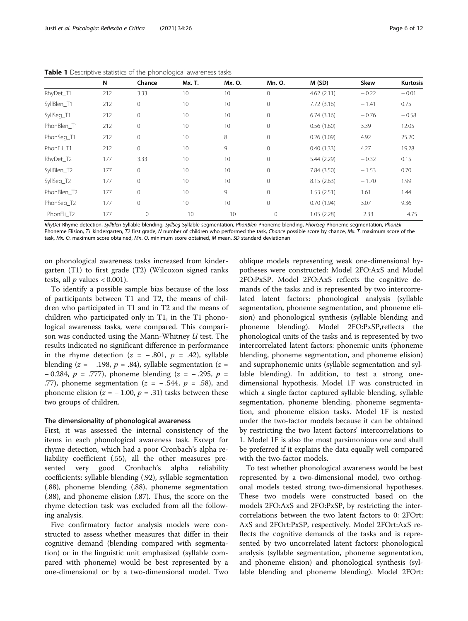|             | N   | Chance       | Mx. T. | Mx. O. | Mn. O.       | M(SD)      | Skew    | <b>Kurtosis</b> |
|-------------|-----|--------------|--------|--------|--------------|------------|---------|-----------------|
| RhyDet_T1   | 212 | 3.33         | 10     | 10     | 0            | 4.62(2.11) | $-0.22$ | $-0.01$         |
| SyllBlen T1 | 212 | 0            | 10     | 10     | $\mathbf 0$  | 7.72(3.16) | $-1.41$ | 0.75            |
| SyllSeg_T1  | 212 | 0            | 10     | 10     | 0            | 6.74(3.16) | $-0.76$ | $-0.58$         |
| PhonBlen T1 | 212 | 0            | 10     | 10     | 0            | 0.56(1.60) | 3.39    | 12.05           |
| PhonSeg_T1  | 212 | 0            | 10     | 8      | 0            | 0.26(1.09) | 4.92    | 25.20           |
| PhonEli T1  | 212 | $\circ$      | 10     | 9      | $\mathbf 0$  | 0.40(1.33) | 4.27    | 19.28           |
| RhyDet_T2   | 177 | 3.33         | 10     | 10     | $\mathbf 0$  | 5.44(2.29) | $-0.32$ | 0.15            |
| SyllBlen T2 | 177 | $\mathbf{0}$ | 10     | 10     | $\mathbf 0$  | 7.84(3.50) | $-1.53$ | 0.70            |
| SyllSeg_T2  | 177 | $\mathbf 0$  | 10     | 10     | $\mathbf 0$  | 8.15(2.63) | $-1.70$ | 1.99            |
| PhonBlen T2 | 177 | $\mathbf 0$  | 10     | 9      | $\mathbf 0$  | 1.53(2.51) | 1.61    | 1.44            |
| PhonSeg_T2  | 177 | $\mathbf 0$  | 10     | 10     | $\mathbf 0$  | 0.70(1.94) | 3.07    | 9.36            |
| PhonEli T2  | 177 | 0            | 10     | 10     | $\mathbf{0}$ | 1.05(2.28) | 2.33    | 4.75            |

<span id="page-5-0"></span>Table 1 Descriptive statistics of the phonological awareness tasks

RhyDet Rhyme detection, SyllBlen Syllable blending, SyllSeg Syllable segmentation, PhonBlen Phoneme blending, PhonSeg Phoneme segmentation, PhonEli Phoneme Elision, T1 kindergarten, T2 first grade, N number of children who performed the task, Chance possible score by chance, Mx. T. maximum score of the task, Mx. O. maximum score obtained, Mn. O. minimum score obtained, M mean, SD standard deviationan

on phonological awareness tasks increased from kindergarten (T1) to first grade (T2) (Wilcoxon signed ranks tests, all  $p$  values < 0.001).

To identify a possible sample bias because of the loss of participants between T1 and T2, the means of children who participated in T1 and in T2 and the means of children who participated only in T1, in the T1 phonological awareness tasks, were compared. This comparison was conducted using the Mann-Whitney U test. The results indicated no significant difference in performance in the rhyme detection ( $z = -.801$ ,  $p = .42$ ), syllable blending (z = -.198,  $p = .84$ ), syllable segmentation (z = − 0.284,  $p = .777$ ), phoneme blending (z = −.295,  $p =$ .77), phoneme segmentation ( $z = -0.544$ ,  $p = 0.58$ ), and phoneme elision ( $z = -1.00$ ,  $p = .31$ ) tasks between these two groups of children.

#### The dimensionality of phonological awareness

First, it was assessed the internal consistency of the items in each phonological awareness task. Except for rhyme detection, which had a poor Cronbach's alpha reliability coefficient (.55), all the other measures presented very good Cronbach's alpha reliability coefficients: syllable blending (.92), syllable segmentation (.88), phoneme blending (.88), phoneme segmentation (.88), and phoneme elision (.87). Thus, the score on the rhyme detection task was excluded from all the following analysis.

Five confirmatory factor analysis models were constructed to assess whether measures that differ in their cognitive demand (blending compared with segmentation) or in the linguistic unit emphasized (syllable compared with phoneme) would be best represented by a one-dimensional or by a two-dimensional model. Two

oblique models representing weak one-dimensional hypotheses were constructed: Model 2FO:AxS and Model 2FO:PxSP. Model 2FO:AxS reflects the cognitive demands of the tasks and is represented by two intercorrelated latent factors: phonological analysis (syllable segmentation, phoneme segmentation, and phoneme elision) and phonological synthesis (syllable blending and phoneme blending). Model 2FO:PxSP,reflects the phonological units of the tasks and is represented by two intercorrelated latent factors: phonemic units (phoneme blending, phoneme segmentation, and phoneme elision) and supraphonemic units (syllable segmentation and syllable blending). In addition, to test a strong onedimensional hypothesis, Model 1F was constructed in which a single factor captured syllable blending, syllable segmentation, phoneme blending, phoneme segmentation, and phoneme elision tasks. Model 1F is nested under the two-factor models because it can be obtained by restricting the two latent factors' intercorrelations to 1. Model 1F is also the most parsimonious one and shall be preferred if it explains the data equally well compared with the two-factor models.

To test whether phonological awareness would be best represented by a two-dimensional model, two orthogonal models tested strong two-dimensional hypotheses. These two models were constructed based on the models 2FO:AxS and 2FO:PxSP, by restricting the intercorrelations between the two latent factors to 0: 2FOrt: AxS and 2FOrt:PxSP, respectively. Model 2FOrt:AxS reflects the cognitive demands of the tasks and is represented by two uncorrelated latent factors: phonological analysis (syllable segmentation, phoneme segmentation, and phoneme elision) and phonological synthesis (syllable blending and phoneme blending). Model 2FOrt: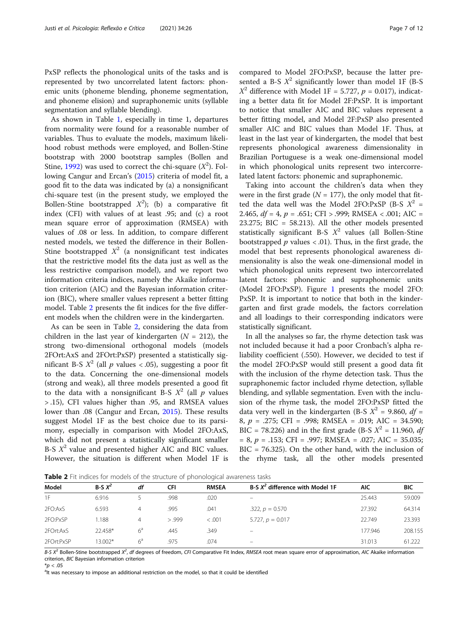PxSP reflects the phonological units of the tasks and is represented by two uncorrelated latent factors: phonemic units (phoneme blending, phoneme segmentation, and phoneme elision) and supraphonemic units (syllable segmentation and syllable blending).

As shown in Table [1,](#page-5-0) especially in time 1, departures from normality were found for a reasonable number of variables. Thus to evaluate the models, maximum likelihood robust methods were employed, and Bollen-Stine bootstrap with 2000 bootstrap samples (Bollen and Stine, [1992](#page-11-0)) was used to correct the chi-square  $(X^2)$ . Following Cangur and Ercan's [\(2015\)](#page-11-0) criteria of model fit, a good fit to the data was indicated by (a) a nonsignificant chi-square test (in the present study, we employed the Bollen-Stine bootstrapped  $X^2$ ); (b) a comparative fit index (CFI) with values of at least .95; and (c) a root mean square error of approximation (RMSEA) with values of .08 or less. In addition, to compare different nested models, we tested the difference in their Bollen-Stine bootstrapped  $X^2$  (a nonsignificant test indicates that the restrictive model fits the data just as well as the less restrictive comparison model), and we report two information criteria indices, namely the Akaike information criterion (AIC) and the Bayesian information criterion (BIC), where smaller values represent a better fitting model. Table 2 presents the fit indices for the five different models when the children were in the kindergarten.

As can be seen in Table 2, considering the data from children in the last year of kindergarten  $(N = 212)$ , the strong two-dimensional orthogonal models (models 2FOrt:AxS and 2FOrt:PxSP) presented a statistically significant B-S  $X^2$  (all p values < .05), suggesting a poor fit to the data. Concerning the one-dimensional models (strong and weak), all three models presented a good fit to the data with a nonsignificant B-S  $X^2$  (all p values > .15), CFI values higher than .95, and RMSEA values lower than .08 (Cangur and Ercan, [2015](#page-11-0)). These results suggest Model 1F as the best choice due to its parsimony, especially in comparison with Model 2FO:AxS, which did not present a statistically significant smaller B-S  $X^2$  value and presented higher AIC and BIC values. However, the situation is different when Model 1F is compared to Model 2FO:PxSP, because the latter presented a B-S  $X^2$  significantly lower than model 1F (B-S  $X^2$  difference with Model 1F = 5.727,  $p = 0.017$ ), indicating a better data fit for Model 2F:PxSP. It is important to notice that smaller AIC and BIC values represent a better fitting model, and Model 2F:PxSP also presented smaller AIC and BIC values than Model 1F. Thus, at least in the last year of kindergarten, the model that best represents phonological awareness dimensionality in Brazilian Portuguese is a weak one-dimensional model in which phonological units represent two intercorrelated latent factors: phonemic and supraphonemic.

Taking into account the children's data when they were in the first grade ( $N = 177$ ), the only model that fitted the data well was the Model 2FO:PxSP (B-S  $X^2$  = 2.465,  $df = 4$ ,  $p = .651$ ; CFI > .999; RMSEA < .001; AIC = 23.275; BIC = 58.213). All the other models presented statistically significant B-S  $X^2$  values (all Bollen-Stine bootstrapped  $p$  values  $\langle .01 \rangle$ . Thus, in the first grade, the model that best represents phonological awareness dimensionality is also the weak one-dimensional model in which phonological units represent two intercorrelated latent factors: phonemic and supraphonemic units (Model 2FO:PxSP). Figure [1](#page-7-0) presents the model 2FO: PxSP. It is important to notice that both in the kindergarten and first grade models, the factors correlation and all loadings to their corresponding indicators were statistically significant.

In all the analyses so far, the rhyme detection task was not included because it had a poor Cronbach's alpha reliability coefficient (.550). However, we decided to test if the model 2FO:PxSP would still present a good data fit with the inclusion of the rhyme detection task. Thus the supraphonemic factor included rhyme detection, syllable blending, and syllable segmentation. Even with the inclusion of the rhyme task, the model 2FO:PxSP fitted the data very well in the kindergarten (B-S  $X^2$  = 9.860, df = 8, p = .275; CFI = .998; RMSEA = .019; AIC = 34.590; BIC = 78.226) and in the first grade (B-S  $X^2$  = 11.960, df  $= 8, p = .153; CFI = .997; RMSEA = .027; AIC = 35.035;$ BIC = 76.325). On the other hand, with the inclusion of the rhyme task, all the other models presented

**Table 2** Fit indices for models of the structure of phonological awareness tasks

| Model      | $B-S X^2$ | df          | CFI    | <b>RMSEA</b> | B-S $X^2$ difference with Model 1F | <b>AIC</b> | <b>BIC</b> |  |
|------------|-----------|-------------|--------|--------------|------------------------------------|------------|------------|--|
| 1F         | 6.916     |             | .998   | .020         | $\overline{\phantom{0}}$           | 25.443     | 59.009     |  |
| 2FO:AxS    | 6.593     | 4           | .995   | .041         | .322, $p = 0.570$                  | 27.392     | 64.314     |  |
| 2FO:PxSP   | 1.188     | 4           | > .999 | < 0.001      | 5.727, $p = 0.017$                 | 22.749     | 23.393     |  |
| 2FOrt:AxS  | 22.458*   | $6^{\circ}$ | .445   | .349         | $\qquad \qquad -$                  | 177.946    | 208.155    |  |
| 2FOrt:PxSP | 13.002*   | $6^a$       | .975   | .074         | $\overline{\phantom{0}}$           | 31.013     | 61.222     |  |

B-S  $X^2$  Bollen-Stine bootstrapped  $X^2$ , df degrees of freedom, CFI Comparative Fit Index, RMSEA root mean square error of approximation, AIC Akaike information criterion, BIC Bayesian information criterion

 $*p < .05$ 

<sup>a</sup>lt was necessary to impose an additional restriction on the model, so that it could be identified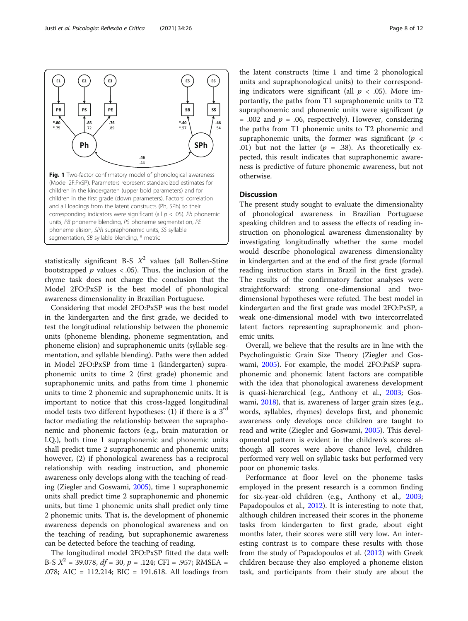<span id="page-7-0"></span>Justi et al. Psicologia: Reflexão e Crítica (2021) 34:26 Page 8 of 12



statistically significant B-S  $X^2$  values (all Bollen-Stine bootstrapped  $p$  values < .05). Thus, the inclusion of the rhyme task does not change the conclusion that the Model 2FO:PxSP is the best model of phonological awareness dimensionality in Brazilian Portuguese.

Considering that model 2FO:PxSP was the best model in the kindergarten and the first grade, we decided to test the longitudinal relationship between the phonemic units (phoneme blending, phoneme segmentation, and phoneme elision) and supraphonemic units (syllable segmentation, and syllable blending). Paths were then added in Model 2FO:PxSP from time 1 (kindergarten) supraphonemic units to time 2 (first grade) phonemic and supraphonemic units, and paths from time 1 phonemic units to time 2 phonemic and supraphonemic units. It is important to notice that this cross-lagged longitudinal model tests two different hypotheses: (1) if there is a  $3<sup>rd</sup>$ factor mediating the relationship between the supraphonemic and phonemic factors (e.g., brain maturation or I.Q.), both time 1 supraphonemic and phonemic units shall predict time 2 supraphonemic and phonemic units; however, (2) if phonological awareness has a reciprocal relationship with reading instruction, and phonemic awareness only develops along with the teaching of reading (Ziegler and Goswami, [2005](#page-11-0)), time 1 supraphonemic units shall predict time 2 supraphonemic and phonemic units, but time 1 phonemic units shall predict only time 2 phonemic units. That is, the development of phonemic awareness depends on phonological awareness and on the teaching of reading, but supraphonemic awareness can be detected before the teaching of reading.

The longitudinal model 2FO:PxSP fitted the data well: B-S  $X^2 = 39.078$ ,  $df = 30$ ,  $p = .124$ ; CFI = .957; RMSEA = .078; AIC = 112.214; BIC = 191.618. All loadings from

the latent constructs (time 1 and time 2 phonological units and supraphonological units) to their corresponding indicators were significant (all  $p < .05$ ). More importantly, the paths from T1 supraphonemic units to T2 supraphonemic and phonemic units were significant  $(p)$ = .002 and  $p = .06$ , respectively). However, considering the paths from T1 phonemic units to T2 phonemic and supraphonemic units, the former was significant ( $p <$ .01) but not the latter ( $p = .38$ ). As theoretically expected, this result indicates that supraphonemic awareness is predictive of future phonemic awareness, but not otherwise.

# **Discussion**

The present study sought to evaluate the dimensionality of phonological awareness in Brazilian Portuguese speaking children and to assess the effects of reading instruction on phonological awareness dimensionality by investigating longitudinally whether the same model would describe phonological awareness dimensionality in kindergarten and at the end of the first grade (formal reading instruction starts in Brazil in the first grade). The results of the confirmatory factor analyses were straightforward: strong one-dimensional and twodimensional hypotheses were refuted. The best model in kindergarten and the first grade was model 2FO:PxSP, a weak one-dimensional model with two intercorrelated latent factors representing supraphonemic and phonemic units.

Overall, we believe that the results are in line with the Psycholinguistic Grain Size Theory (Ziegler and Goswami, [2005\)](#page-11-0). For example, the model 2FO:PxSP supraphonemic and phonemic latent factors are compatible with the idea that phonological awareness development is quasi-hierarchical (e.g., Anthony et al., [2003;](#page-11-0) Goswami, [2018\)](#page-11-0), that is, awareness of larger grain sizes (e.g., words, syllables, rhymes) develops first, and phonemic awareness only develops once children are taught to read and write (Ziegler and Goswami, [2005\)](#page-11-0). This developmental pattern is evident in the children's scores: although all scores were above chance level, children performed very well on syllabic tasks but performed very poor on phonemic tasks.

Performance at floor level on the phoneme tasks employed in the present research is a common finding for six-year-old children (e.g., Anthony et al., [2003](#page-11-0); Papadopoulos et al., [2012\)](#page-11-0). It is interesting to note that, although children increased their scores in the phoneme tasks from kindergarten to first grade, about eight months later, their scores were still very low. An interesting contrast is to compare these results with those from the study of Papadopoulos et al. ([2012](#page-11-0)) with Greek children because they also employed a phoneme elision task, and participants from their study are about the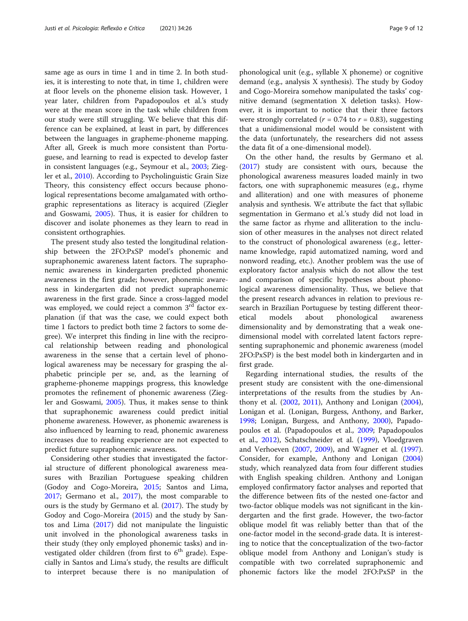same age as ours in time 1 and in time 2. In both studies, it is interesting to note that, in time 1, children were at floor levels on the phoneme elision task. However, 1 year later, children from Papadopoulos et al.'s study were at the mean score in the task while children from our study were still struggling. We believe that this difference can be explained, at least in part, by differences between the languages in grapheme-phoneme mapping. After all, Greek is much more consistent than Portuguese, and learning to read is expected to develop faster in consistent languages (e.g., Seymour et al., [2003;](#page-11-0) Ziegler et al., [2010\)](#page-11-0). According to Psycholinguistic Grain Size Theory, this consistency effect occurs because phonological representations become amalgamated with orthographic representations as literacy is acquired (Ziegler and Goswami, [2005\)](#page-11-0). Thus, it is easier for children to discover and isolate phonemes as they learn to read in consistent orthographies.

The present study also tested the longitudinal relationship between the 2FO:PxSP model's phonemic and supraphonemic awareness latent factors. The supraphonemic awareness in kindergarten predicted phonemic awareness in the first grade; however, phonemic awareness in kindergarten did not predict supraphonemic awareness in the first grade. Since a cross-lagged model was employed, we could reject a common  $3<sup>rd</sup>$  factor explanation (if that was the case, we could expect both time 1 factors to predict both time 2 factors to some degree). We interpret this finding in line with the reciprocal relationship between reading and phonological awareness in the sense that a certain level of phonological awareness may be necessary for grasping the alphabetic principle per se, and, as the learning of grapheme-phoneme mappings progress, this knowledge promotes the refinement of phonemic awareness (Ziegler and Goswami, [2005\)](#page-11-0). Thus, it makes sense to think that supraphonemic awareness could predict initial phoneme awareness. However, as phonemic awareness is also influenced by learning to read, phonemic awareness increases due to reading experience are not expected to predict future supraphonemic awareness.

Considering other studies that investigated the factorial structure of different phonological awareness measures with Brazilian Portuguese speaking children (Godoy and Cogo-Moreira, [2015;](#page-11-0) Santos and Lima, [2017](#page-11-0); Germano et al., [2017\)](#page-11-0), the most comparable to ours is the study by Germano et al. ([2017](#page-11-0)). The study by Godoy and Cogo-Moreira [\(2015\)](#page-11-0) and the study by Santos and Lima ([2017](#page-11-0)) did not manipulate the linguistic unit involved in the phonological awareness tasks in their study (they only employed phonemic tasks) and investigated older children (from first to  $6<sup>th</sup>$  grade). Especially in Santos and Lima's study, the results are difficult to interpret because there is no manipulation of phonological unit (e.g., syllable X phoneme) or cognitive demand (e.g., analysis X synthesis). The study by Godoy and Cogo-Moreira somehow manipulated the tasks' cognitive demand (segmentation X deletion tasks). However, it is important to notice that their three factors were strongly correlated ( $r = 0.74$  to  $r = 0.83$ ), suggesting that a unidimensional model would be consistent with the data (unfortunately, the researchers did not assess the data fit of a one-dimensional model).

On the other hand, the results by Germano et al. ([2017\)](#page-11-0) study are consistent with ours, because the phonological awareness measures loaded mainly in two factors, one with supraphonemic measures (e.g., rhyme and alliteration) and one with measures of phoneme analysis and synthesis. We attribute the fact that syllabic segmentation in Germano et al.'s study did not load in the same factor as rhyme and alliteration to the inclusion of other measures in the analyses not direct related to the construct of phonological awareness (e.g., lettername knowledge, rapid automatized naming, word and nonword reading, etc.). Another problem was the use of exploratory factor analysis which do not allow the test and comparison of specific hypotheses about phonological awareness dimensionality. Thus, we believe that the present research advances in relation to previous research in Brazilian Portuguese by testing different theoretical models about phonological awareness dimensionality and by demonstrating that a weak onedimensional model with correlated latent factors representing supraphonemic and phonemic awareness (model 2FO:PxSP) is the best model both in kindergarten and in first grade.

Regarding international studies, the results of the present study are consistent with the one-dimensional interpretations of the results from the studies by Anthony et al. ([2002,](#page-11-0) [2011](#page-11-0)), Anthony and Lonigan ([2004](#page-11-0)), Lonigan et al. (Lonigan, Burgess, Anthony, and Barker, [1998](#page-11-0); Lonigan, Burgess, and Anthony, [2000\)](#page-11-0), Papadopoulos et al. (Papadopoulos et al., [2009;](#page-11-0) Papadopoulos et al., [2012\)](#page-11-0), Schatschneider et al. ([1999](#page-11-0)), Vloedgraven and Verhoeven [\(2007,](#page-11-0) [2009\)](#page-11-0), and Wagner et al. ([1997](#page-11-0)). Consider, for example, Anthony and Lonigan ([2004](#page-11-0)) study, which reanalyzed data from four different studies with English speaking children. Anthony and Lonigan employed confirmatory factor analyses and reported that the difference between fits of the nested one-factor and two-factor oblique models was not significant in the kindergarten and the first grade. However, the two-factor oblique model fit was reliably better than that of the one-factor model in the second-grade data. It is interesting to notice that the conceptualization of the two-factor oblique model from Anthony and Lonigan's study is compatible with two correlated supraphonemic and phonemic factors like the model 2FO:PxSP in the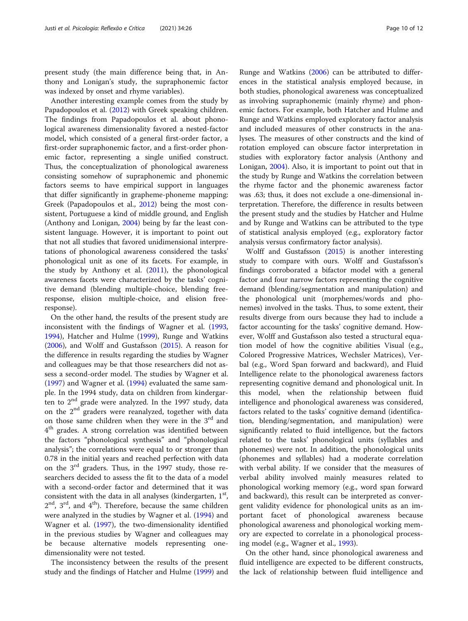present study (the main difference being that, in Anthony and Lonigan's study, the supraphonemic factor was indexed by onset and rhyme variables).

Another interesting example comes from the study by Papadopoulos et al. [\(2012\)](#page-11-0) with Greek speaking children. The findings from Papadopoulos et al. about phonological awareness dimensionality favored a nested-factor model, which consisted of a general first-order factor, a first-order supraphonemic factor, and a first-order phonemic factor, representing a single unified construct. Thus, the conceptualization of phonological awareness consisting somehow of supraphonemic and phonemic factors seems to have empirical support in languages that differ significantly in grapheme-phoneme mapping: Greek (Papadopoulos et al., [2012\)](#page-11-0) being the most consistent, Portuguese a kind of middle ground, and English (Anthony and Lonigan, [2004](#page-11-0)) being by far the least consistent language. However, it is important to point out that not all studies that favored unidimensional interpretations of phonological awareness considered the tasks' phonological unit as one of its facets. For example, in the study by Anthony et al. [\(2011\)](#page-11-0), the phonological awareness facets were characterized by the tasks' cognitive demand (blending multiple-choice, blending freeresponse, elision multiple-choice, and elision freeresponse).

On the other hand, the results of the present study are inconsistent with the findings of Wagner et al. ([1993](#page-11-0), [1994](#page-11-0)), Hatcher and Hulme ([1999](#page-11-0)), Runge and Watkins ([2006](#page-11-0)), and Wolff and Gustafsson [\(2015](#page-11-0)). A reason for the difference in results regarding the studies by Wagner and colleagues may be that those researchers did not assess a second-order model. The studies by Wagner et al. ([1997](#page-11-0)) and Wagner et al. [\(1994](#page-11-0)) evaluated the same sample. In the 1994 study, data on children from kindergarten to  $2<sup>nd</sup>$  grade were analyzed. In the 1997 study, data on the  $2<sup>nd</sup>$  graders were reanalyzed, together with data on those same children when they were in the  $3<sup>rd</sup>$  and  $4<sup>th</sup>$  grades. A strong correlation was identified between the factors "phonological synthesis" and "phonological analysis"; the correlations were equal to or stronger than 0.78 in the initial years and reached perfection with data on the  $3<sup>rd</sup>$  graders. Thus, in the 1997 study, those researchers decided to assess the fit to the data of a model with a second-order factor and determined that it was consistent with the data in all analyses (kindergarten,  $1<sup>st</sup>$ ,  $2<sup>nd</sup>$ ,  $3<sup>rd</sup>$ , and  $4<sup>th</sup>$ ). Therefore, because the same children were analyzed in the studies by Wagner et al. ([1994](#page-11-0)) and Wagner et al. ([1997](#page-11-0)), the two-dimensionality identified in the previous studies by Wagner and colleagues may be because alternative models representing onedimensionality were not tested.

The inconsistency between the results of the present study and the findings of Hatcher and Hulme ([1999](#page-11-0)) and

Runge and Watkins [\(2006\)](#page-11-0) can be attributed to differences in the statistical analysis employed because, in both studies, phonological awareness was conceptualized as involving supraphonemic (mainly rhyme) and phonemic factors. For example, both Hatcher and Hulme and Runge and Watkins employed exploratory factor analysis and included measures of other constructs in the analyses. The measures of other constructs and the kind of rotation employed can obscure factor interpretation in studies with exploratory factor analysis (Anthony and Lonigan, [2004\)](#page-11-0). Also, it is important to point out that in the study by Runge and Watkins the correlation between the rhyme factor and the phonemic awareness factor was .63; thus, it does not exclude a one-dimensional interpretation. Therefore, the difference in results between the present study and the studies by Hatcher and Hulme and by Runge and Watkins can be attributed to the type of statistical analysis employed (e.g., exploratory factor analysis versus confirmatory factor analysis).

Wolff and Gustafsson ([2015\)](#page-11-0) is another interesting study to compare with ours. Wolff and Gustafsson's findings corroborated a bifactor model with a general factor and four narrow factors representing the cognitive demand (blending/segmentation and manipulation) and the phonological unit (morphemes/words and phonemes) involved in the tasks. Thus, to some extent, their results diverge from ours because they had to include a factor accounting for the tasks' cognitive demand. However, Wolff and Gustafsson also tested a structural equation model of how the cognitive abilities Visual (e.g., Colored Progressive Matrices, Wechsler Matrices), Verbal (e.g., Word Span forward and backward), and Fluid Intelligence relate to the phonological awareness factors representing cognitive demand and phonological unit. In this model, when the relationship between fluid intelligence and phonological awareness was considered, factors related to the tasks' cognitive demand (identification, blending/segmentation, and manipulation) were significantly related to fluid intelligence, but the factors related to the tasks' phonological units (syllables and phonemes) were not. In addition, the phonological units (phonemes and syllables) had a moderate correlation with verbal ability. If we consider that the measures of verbal ability involved mainly measures related to phonological working memory (e.g., word span forward and backward), this result can be interpreted as convergent validity evidence for phonological units as an important facet of phonological awareness because phonological awareness and phonological working memory are expected to correlate in a phonological processing model (e.g., Wagner et al., [1993](#page-11-0)).

On the other hand, since phonological awareness and fluid intelligence are expected to be different constructs, the lack of relationship between fluid intelligence and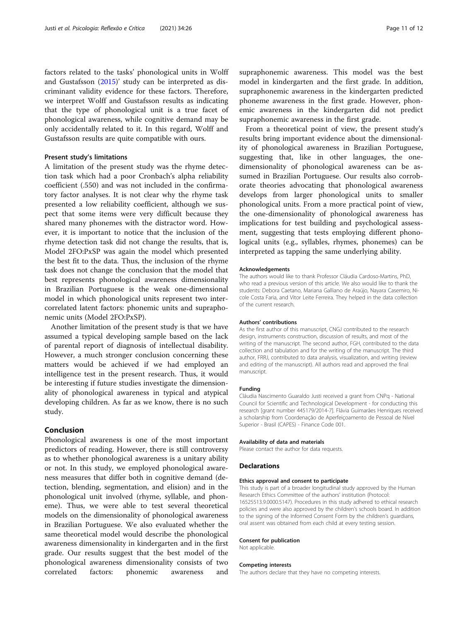factors related to the tasks' phonological units in Wolff and Gustafsson ([2015](#page-11-0))' study can be interpreted as discriminant validity evidence for these factors. Therefore, we interpret Wolff and Gustafsson results as indicating that the type of phonological unit is a true facet of phonological awareness, while cognitive demand may be only accidentally related to it. In this regard, Wolff and Gustafsson results are quite compatible with ours.

### Present study's limitations

A limitation of the present study was the rhyme detection task which had a poor Cronbach's alpha reliability coefficient (.550) and was not included in the confirmatory factor analyses. It is not clear why the rhyme task presented a low reliability coefficient, although we suspect that some items were very difficult because they shared many phonemes with the distractor word. However, it is important to notice that the inclusion of the rhyme detection task did not change the results, that is, Model 2FO:PxSP was again the model which presented the best fit to the data. Thus, the inclusion of the rhyme task does not change the conclusion that the model that best represents phonological awareness dimensionality in Brazilian Portuguese is the weak one-dimensional model in which phonological units represent two intercorrelated latent factors: phonemic units and supraphonemic units (Model 2FO:PxSP).

Another limitation of the present study is that we have assumed a typical developing sample based on the lack of parental report of diagnosis of intellectual disability. However, a much stronger conclusion concerning these matters would be achieved if we had employed an intelligence test in the present research. Thus, it would be interesting if future studies investigate the dimensionality of phonological awareness in typical and atypical developing children. As far as we know, there is no such study.

# Conclusion

Phonological awareness is one of the most important predictors of reading. However, there is still controversy as to whether phonological awareness is a unitary ability or not. In this study, we employed phonological awareness measures that differ both in cognitive demand (detection, blending, segmentation, and elision) and in the phonological unit involved (rhyme, syllable, and phoneme). Thus, we were able to test several theoretical models on the dimensionality of phonological awareness in Brazilian Portuguese. We also evaluated whether the same theoretical model would describe the phonological awareness dimensionality in kindergarten and in the first grade. Our results suggest that the best model of the phonological awareness dimensionality consists of two correlated factors: phonemic awareness and supraphonemic awareness. This model was the best model in kindergarten and the first grade. In addition, supraphonemic awareness in the kindergarten predicted phoneme awareness in the first grade. However, phonemic awareness in the kindergarten did not predict supraphonemic awareness in the first grade.

From a theoretical point of view, the present study's results bring important evidence about the dimensionality of phonological awareness in Brazilian Portuguese, suggesting that, like in other languages, the onedimensionality of phonological awareness can be assumed in Brazilian Portuguese. Our results also corroborate theories advocating that phonological awareness develops from larger phonological units to smaller phonological units. From a more practical point of view, the one-dimensionality of phonological awareness has implications for test building and psychological assessment, suggesting that tests employing different phonological units (e.g., syllables, rhymes, phonemes) can be interpreted as tapping the same underlying ability.

#### Acknowledgements

The authors would like to thank Professor Cláudia Cardoso-Martins, PhD, who read a previous version of this article. We also would like to thank the students: Debora Caetano, Mariana Galliano de Araújo, Nayara Casemiro, Nicole Costa Faria, and Vitor Leite Ferreira. They helped in the data collection of the current research.

#### Authors' contributions

As the first author of this manuscript, CNGJ contributed to the research design, instruments construction, discussion of results, and most of the writing of the manuscript. The second author, FGH, contributed to the data collection and tabulation and for the writing of the manuscript. The third author, FRRJ, contributed to data analysis, visualization, and writing (review and editing of the manuscript). All authors read and approved the final manuscript.

#### Funding

Cláudia Nascimento Guaraldo Justi received a grant from CNPq - National Council for Scientific and Technological Development - for conducting this research [grant number 445179/2014-7]. Flávia Guimarães Henriques received a scholarship from Coordenação de Aperfeiçoamento de Pessoal de Nível Superior - Brasil (CAPES) - Finance Code 001.

#### Availability of data and materials

Please contact the author for data requests.

#### **Declarations**

#### Ethics approval and consent to participate

This study is part of a broader longitudinal study approved by the Human Research Ethics Committee of the authors' institution (Protocol: 16525513.9.0000.5147). Procedures in this study adhered to ethical research policies and were also approved by the children's schools board. In addition to the signing of the Informed Consent Form by the children's guardians, oral assent was obtained from each child at every testing session.

#### Consent for publication

Not applicable.

#### Competing interests

The authors declare that they have no competing interests.